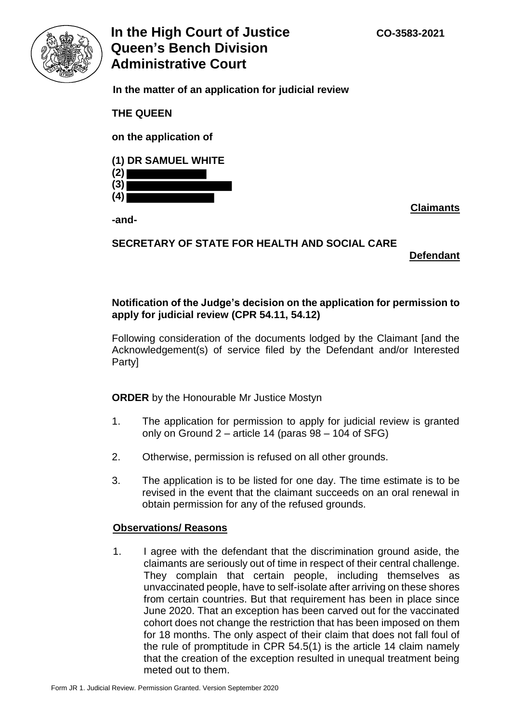

# **In the High Court of Justice**   $CO-3583-2021$ **Queen's Bench Division Administrative Court**

 **In the matter of an application for judicial review** 

**THE QUEEN** 

**on the application of** 

## **(1) DR SAMUEL WHITE**

**(2) (3) (4)** 

**-and-**

**Claimants** 

# **SECRETARY OF STATE FOR HEALTH AND SOCIAL CARE**

**Defendant** 

### **Notification of the Judge's decision on the application for permission to apply for judicial review (CPR 54.11, 54.12)**

Following consideration of the documents lodged by the Claimant [and the Acknowledgement(s) of service filed by the Defendant and/or Interested Party]

**ORDER** by the Honourable Mr Justice Mostyn

- 1. The application for permission to apply for judicial review is granted only on Ground 2 – article 14 (paras 98 – 104 of SFG)
- 2. Otherwise, permission is refused on all other grounds.
- 3. The application is to be listed for one day. The time estimate is to be revised in the event that the claimant succeeds on an oral renewal in obtain permission for any of the refused grounds.

### **Observations/ Reasons**

1. I agree with the defendant that the discrimination ground aside, the claimants are seriously out of time in respect of their central challenge. They complain that certain people, including themselves as unvaccinated people, have to self-isolate after arriving on these shores from certain countries. But that requirement has been in place since June 2020. That an exception has been carved out for the vaccinated cohort does not change the restriction that has been imposed on them for 18 months. The only aspect of their claim that does not fall foul of the rule of promptitude in CPR 54.5(1) is the article 14 claim namely that the creation of the exception resulted in unequal treatment being meted out to them.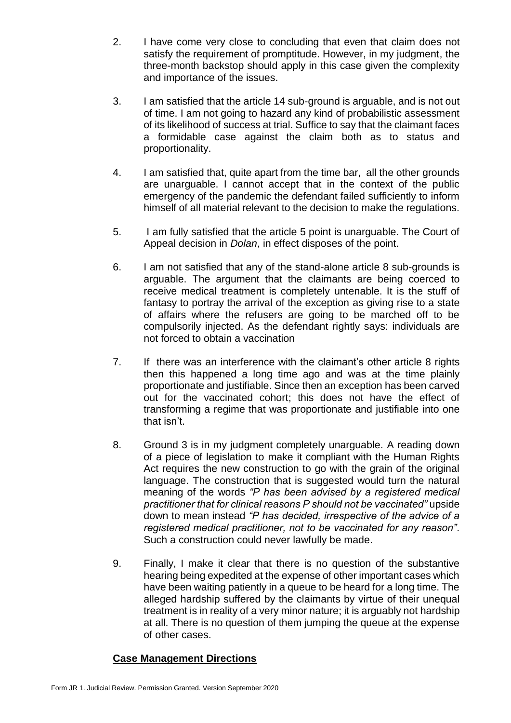- 2. I have come very close to concluding that even that claim does not satisfy the requirement of promptitude. However, in my judgment, the three-month backstop should apply in this case given the complexity and importance of the issues.
- 3. I am satisfied that the article 14 sub-ground is arguable, and is not out of time. I am not going to hazard any kind of probabilistic assessment of its likelihood of success at trial. Suffice to say that the claimant faces a formidable case against the claim both as to status and proportionality.
- 4. I am satisfied that, quite apart from the time bar, all the other grounds are unarguable. I cannot accept that in the context of the public emergency of the pandemic the defendant failed sufficiently to inform himself of all material relevant to the decision to make the regulations.
- 5. I am fully satisfied that the article 5 point is unarguable. The Court of Appeal decision in *Dolan*, in effect disposes of the point.
- 6. I am not satisfied that any of the stand-alone article 8 sub-grounds is arguable. The argument that the claimants are being coerced to receive medical treatment is completely untenable. It is the stuff of fantasy to portray the arrival of the exception as giving rise to a state of affairs where the refusers are going to be marched off to be compulsorily injected. As the defendant rightly says: individuals are not forced to obtain a vaccination
- 7. If there was an interference with the claimant's other article 8 rights then this happened a long time ago and was at the time plainly proportionate and justifiable. Since then an exception has been carved out for the vaccinated cohort; this does not have the effect of transforming a regime that was proportionate and justifiable into one that isn't.
- 8. Ground 3 is in my judgment completely unarguable. A reading down of a piece of legislation to make it compliant with the Human Rights Act requires the new construction to go with the grain of the original language. The construction that is suggested would turn the natural meaning of the words *"P has been advised by a registered medical practitioner that for clinical reasons P should not be vaccinated"* upside down to mean instead *"P has decided, irrespective of the advice of a registered medical practitioner, not to be vaccinated for any reason"*. Such a construction could never lawfully be made.
- 9. Finally, I make it clear that there is no question of the substantive hearing being expedited at the expense of other important cases which have been waiting patiently in a queue to be heard for a long time. The alleged hardship suffered by the claimants by virtue of their unequal treatment is in reality of a very minor nature; it is arguably not hardship at all. There is no question of them jumping the queue at the expense of other cases.

### **Case Management Directions**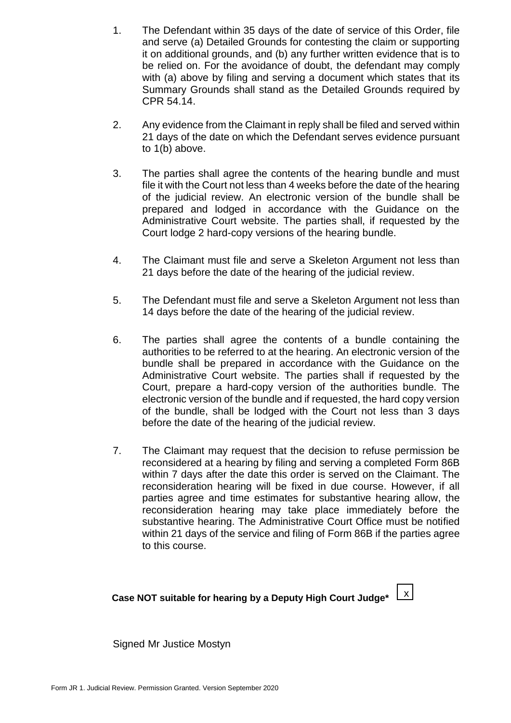- 1. The Defendant within 35 days of the date of service of this Order, file and serve (a) Detailed Grounds for contesting the claim or supporting it on additional grounds, and (b) any further written evidence that is to be relied on. For the avoidance of doubt, the defendant may comply with (a) above by filing and serving a document which states that its Summary Grounds shall stand as the Detailed Grounds required by CPR 54.14.
- 2. Any evidence from the Claimant in reply shall be filed and served within 21 days of the date on which the Defendant serves evidence pursuant to 1(b) above.
- 3. The parties shall agree the contents of the hearing bundle and must file it with the Court not less than 4 weeks before the date of the hearing of the judicial review. An electronic version of the bundle shall be prepared and lodged in accordance with the Guidance on the Administrative Court website. The parties shall, if requested by the Court lodge 2 hard-copy versions of the hearing bundle.
- 4. The Claimant must file and serve a Skeleton Argument not less than 21 days before the date of the hearing of the judicial review.
- 5. The Defendant must file and serve a Skeleton Argument not less than 14 days before the date of the hearing of the judicial review.
- 6. The parties shall agree the contents of a bundle containing the authorities to be referred to at the hearing. An electronic version of the bundle shall be prepared in accordance with the Guidance on the Administrative Court website. The parties shall if requested by the Court, prepare a hard-copy version of the authorities bundle. The electronic version of the bundle and if requested, the hard copy version of the bundle, shall be lodged with the Court not less than 3 days before the date of the hearing of the judicial review.
- 7. The Claimant may request that the decision to refuse permission be reconsidered at a hearing by filing and serving a completed Form 86B within 7 days after the date this order is served on the Claimant. The reconsideration hearing will be fixed in due course. However, if all parties agree and time estimates for substantive hearing allow, the reconsideration hearing may take place immediately before the substantive hearing. The Administrative Court Office must be notified within 21 days of the service and filing of Form 86B if the parties agree to this course.

x

# **Case NOT suitable for hearing by a Deputy High Court Judge\***

Signed Mr Justice Mostyn